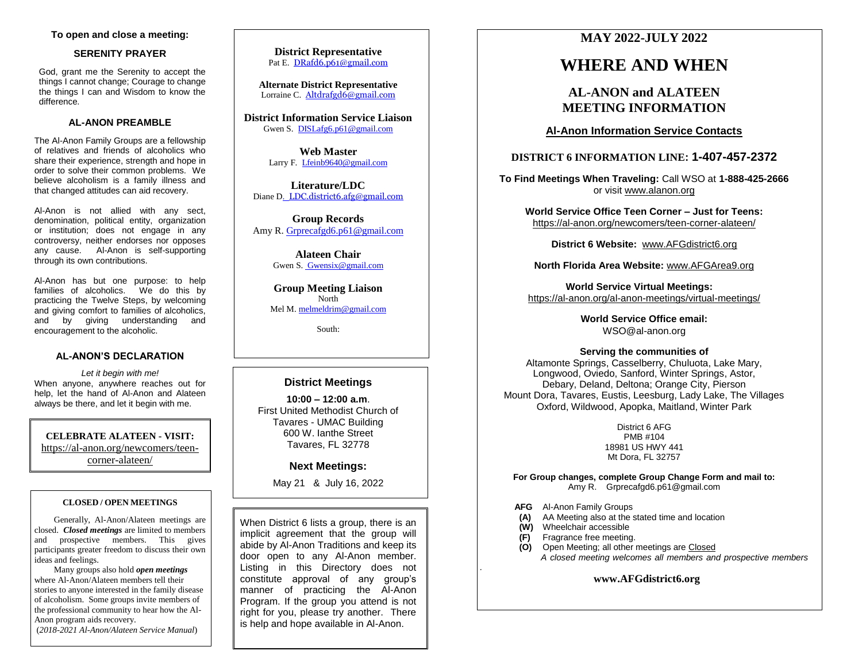# **To open and close a meeting:**

### **SERENITY PRAYER**

God, grant me the Serenity to accept the things I cannot change; Courage to change the things I can and Wisdom to know the difference.

# **AL-ANON PREAMBLE**

The Al-Anon Family Groups are a fellowship of relatives and friends of alcoholics who share their experience, strength and hope in order to solve their common problems. We believe alcoholism is a family illness and that changed attitudes can aid recovery.

Al-Anon is not allied with any sect, denomination, political entity, organization or institution; does not engage in any controversy, neither endorses nor opposes any cause. Al-Anon is self-supporting through its own contributions.

Al-Anon has but one purpose: to help families of alcoholics. We do this by practicing the Twelve Steps, by welcoming and giving comfort to families of alcoholics, and by giving understanding and encouragement to the alcoholic.

# **AL-ANON'S DECLARATION**

*Let it begin with me!* When anyone, anywhere reaches out for help, let the hand of Al-Anon and Alateen always be there, and let it begin with me.

**CELEBRATE ALATEEN - VISIT:** [https://al-anon.org/newcomers/teen](https://al-anon.org/newcomers/teen-corner-alateen/)[corner-alateen/](https://al-anon.org/newcomers/teen-corner-alateen/)

### **CLOSED / OPEN MEETINGS**

Generally, Al-Anon/Alateen meetings are closed. *Closed meetings* are limited to members and prospective members. This gives participants greater freedom to discuss their own ideas and feelings.

Many groups also hold *open meetings* where Al-Anon/Alateen members tell their stories to anyone interested in the family disease of alcoholism. Some groups invite members of the professional community to hear how the Al-Anon program aids recovery.

(*2018-2021 Al-Anon/Alateen Service Manual*)

**District Representative** Pat E. [DRafd6.p61@gmail.com](mailto:DRafd6.p61@gmail.com)

**Alternate District Representative** Lorraine C. [Altdrafgd6@gmail.com](mailto:Altdrafgd6@gmail.com)

**District Information Service Liaison** Gwen S. [DISLafg6.p61@gmail.com](mailto:DISLafg6.p61@gmail.com)

> **Web Master** Larry F. [Lfeinb9640@gmail.com](file:///C:/Users/Gwen%20Sears/Downloads/Lfeinb9640@gmail.com)

**Literature/LDC** Diane D. [LDC.district6.afg@gmail.com](mailto:LDCafgDistrict6@gmail.com)

**Group Records** Amy R. [Grprecafgd6.p61@gmail.com](mailto:Grprecafgd6.p61@gmail.com)

> **Alateen Chair** Gwen S[. Gwensix@gmail.com](mailto:AlateenafgDistrict6@gmail.com)

**Group Meeting Liaison** North Mel M. [melmeldrim@gmail.com](mailto:melmeldrim@gmail.com)

South:

# **District Meetings**

**10:00 – 12:00 a.m**. First United Methodist Church of Tavares - UMAC Building 600 W. Ianthe Street Tavares, FL 32778

# **Next Meetings:**

May 21 & July 16, 2022

When District 6 lists a group, there is an implicit agreement that the group will abide by Al-Anon Traditions and keep its door open to any Al-Anon member. Listing in this Directory does not constitute approval of any group's manner of practicing the Al-Anon Program. If the group you attend is not right for you, please try another. There is help and hope available in Al-Anon.

# **MAY 2022-JULY 2022**

# **WHERE AND WHEN**

# **AL-ANON and ALATEEN MEETING INFORMATION**

**Al-Anon Information Service Contacts**

# **DISTRICT 6 INFORMATION LINE: 1-407-457-2372**

**To Find Meetings When Traveling:** Call WSO at **1-888-425-2666** or visi[t www.alanon.org](http://www.alanon.org/)

**World Service Office Teen Corner – Just for Teens:** <https://al-anon.org/newcomers/teen-corner-alateen/>

**District 6 Website:** [www.AFGdistrict6.org](http://www.afgdistrict6.org/)

**North Florida Area Website:** [www.AFGArea9.org](http://www.afgarea9.org/)

**World Service Virtual Meetings:** <https://al-anon.org/al-anon-meetings/virtual-meetings/>

> **World Service Office email:** WSO@al-anon.org

### **Serving the communities of**

Altamonte Springs, Casselberry, Chuluota, Lake Mary, Longwood, Oviedo, Sanford, Winter Springs, Astor, Debary, Deland, Deltona; Orange City, Pierson Mount Dora, Tavares, Eustis, Leesburg, Lady Lake, The Villages Oxford, Wildwood, Apopka, Maitland, Winter Park

> District 6 AFG PMB #104 18981 US HWY 441 Mt Dora, FL 32757

**For Group changes, complete Group Change Form and mail to:** Amy R. Grprecafgd6.p61@gmail.com

- **AFG** Al-Anon Family Groups
- **(A)** AA Meeting also at the stated time and location
- **(W)** Wheelchair accessible

*.*

- **(F)** Fragrance free meeting.
- **(O)** Open Meeting; all other meetings are Closed  *A closed meeting welcomes all members and prospective members*

# **www.AFGdistrict6.org**